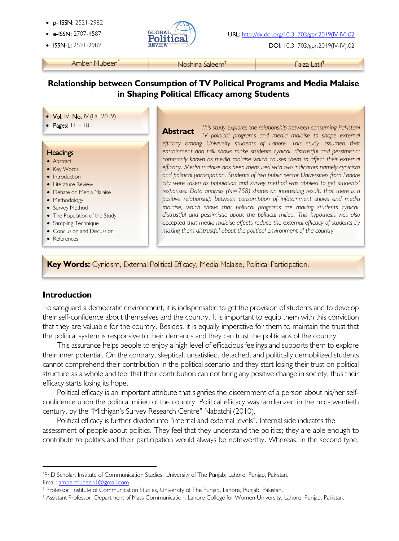- p- ISSN: 2521-2982
- 
- 



**ISSN-L:** 2521-2982 **REVIEW ARE EXECUTED DOI:** 10.31703/gpr.2019(IV-IV).02

Amber Mubeen\* Noshina Saleem† Faiza Latif‡

# **Relationship between Consumption of TV Political Programs and Media Malaise in Shaping Political Efficacy among Students**

#### • Vol. IV, No. IV (Fall 2019)

#### **Headings**

l

- Abstract
- Key Words
- Introduction
- Literature Review
- Debate on Media Malaise
- Methodology
- Survey Method
- The Population of the Study
- Sampling Technique
- Conclusion and Discussion
- References

ł

j

• Pages: 11 – 18 **This study explores the relationship between consuming Pakistani Abstract** *This study explores the relationship between consuming Pakistani TV political programs and media malaise to shape external efficacy among University students of Lahore. This study assumed that*  entrainment and talk shows make students cynical, distrustful and pessimistic; *commonly known as media malaise which causes them to affect their external efficacy. Media malaise has been measured with two indicators namely cynicism and political participation. Students of two public sector Universities from Lahore city were taken as population and survey method was applied to get students' responses. Data analysis (N=758) shares an interesting result, that there is a positive relationship between consumption of infotainment shows and media malaise, which shows that political programs are making students cynical, distrustful and pessimistic about the political milieu. This hypothesis was also accepted that media malaise effects reduce the external efficacy of students by making them distrustful about the political environment of the country* **Abstract**

**Key Words:** Cynicism, External Political Efficacy, Media Malaise, Political Participation.

## **Introduction**

To safeguard a democratic environment, it is indispensable to get the provision of students and to develop their self-confidence about themselves and the country. It is important to equip them with this conviction that they are valuable for the country. Besides, it is equally imperative for them to maintain the trust that the political system is responsive to their demands and they can trust the politicians of the country.

This assurance helps people to enjoy a high level of efficacious feelings and supports them to explore their inner potential. On the contrary, skeptical, unsatisfied, detached, and politically demobilized students cannot comprehend their contribution in the political scenario and they start losing their trust on political structure as a whole and feel that their contribution can not bring any positive change in society, thus their efficacy starts losing its hope.

Political efficacy is an important attribute that signifies the discernment of a person about his/her selfconfidence upon the political milieu of the country. Political efficacy was familiarized in the mid-twentieth century, by the "Michigan's Survey Research Centre" Nabatchi (2010).

Political efficacy is further divided into "internal and external levels". Internal side indicates the assessment of people about politics. They feel that they understand the politics; they are able enough to contribute to politics and their participation would always be noteworthy. Whereas, in the second type,

Email: ambermubeen1@gmail.com

<sup>\*</sup> PhD Scholar, Institute of Communication Studies, University of The Punjab, Lahore, Punjab, Pakistan.

<sup>†</sup> Professor, Institute of Communication Studies, University of The Punjab, Lahore, Punjab, Pakistan.

<sup>‡</sup> Assistant Professor, Department of Mass Communication, Lahore College for Women University, Lahore, Punjab, Pakistan.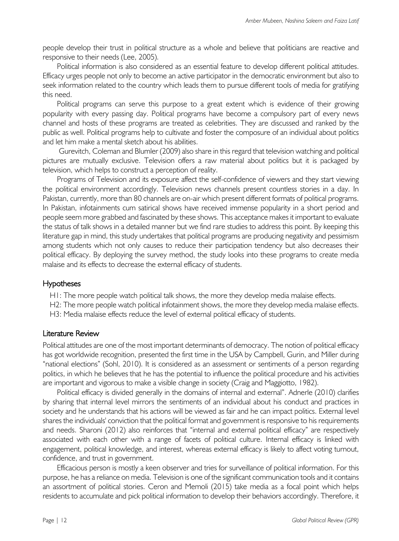people develop their trust in political structure as a whole and believe that politicians are reactive and responsive to their needs (Lee, 2005).

Political information is also considered as an essential feature to develop different political attitudes. Efficacy urges people not only to become an active participator in the democratic environment but also to seek information related to the country which leads them to pursue different tools of media for gratifying this need.

Political programs can serve this purpose to a great extent which is evidence of their growing popularity with every passing day. Political programs have become a compulsory part of every news channel and hosts of these programs are treated as celebrities. They are discussed and ranked by the public as well. Political programs help to cultivate and foster the composure of an individual about politics and let him make a mental sketch about his abilities.

Gurevitch, Coleman and Blumler (2009) also share in this regard that television watching and political pictures are mutually exclusive. Television offers a raw material about politics but it is packaged by television, which helps to construct a perception of reality.

Programs of Television and its exposure affect the self-confidence of viewers and they start viewing the political environment accordingly. Television news channels present countless stories in a day. In Pakistan, currently, more than 80 channels are on-air which present different formats of political programs. In Pakistan, infotainments cum satirical shows have received immense popularity in a short period and people seem more grabbed and fascinated by these shows. This acceptance makes it important to evaluate the status of talk shows in a detailed manner but we find rare studies to address this point. By keeping this literature gap in mind, this study undertakes that political programs are producing negativity and pessimism among students which not only causes to reduce their participation tendency but also decreases their political efficacy. By deploying the survey method, the study looks into these programs to create media malaise and its effects to decrease the external efficacy of students.

#### Hypotheses

H1: The more people watch political talk shows, the more they develop media malaise effects.

H2: The more people watch political infotainment shows, the more they develop media malaise effects.

H3: Media malaise effects reduce the level of external political efficacy of students.

#### Literature Review

Political attitudes are one of the most important determinants of democracy. The notion of political efficacy has got worldwide recognition, presented the first time in the USA by Campbell, Gurin, and Miller during "national elections" (Sohl, 2010). It is considered as an assessment or sentiments of a person regarding politics, in which he believes that he has the potential to influence the political procedure and his activities are important and vigorous to make a visible change in society (Craig and Maggiotto, 1982).

Political efficacy is divided generally in the domains of internal and external". Adnerle (2010) clarifies by sharing that internal level mirrors the sentiments of an individual about his conduct and practices in society and he understands that his actions will be viewed as fair and he can impact politics. External level shares the individuals' conviction that the political format and government is responsive to his requirements and needs. Sharoni (2012) also reinforces that "internal and external political efficacy" are respectively associated with each other with a range of facets of political culture. Internal efficacy is linked with engagement, political knowledge, and interest, whereas external efficacy is likely to affect voting turnout, confidence, and trust in government.

Efficacious person is mostly a keen observer and tries for surveillance of political information. For this purpose, he has a reliance on media. Television is one of the significant communication tools and it contains an assortment of political stories. Ceron and Memoli (2015) take media as a focal point which helps residents to accumulate and pick political information to develop their behaviors accordingly. Therefore, it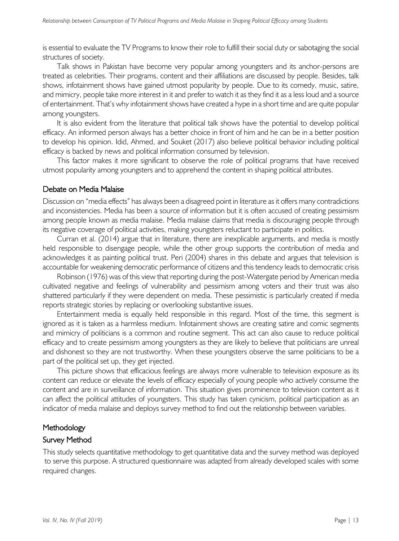is essential to evaluate the TV Programs to know their role to fulfill their social duty or sabotaging the social structures of society.

Talk shows in Pakistan have become very popular among youngsters and its anchor-persons are treated as celebrities. Their programs, content and their affiliations are discussed by people. Besides, talk shows, infotainment shows have gained utmost popularity by people. Due to its comedy, music, satire, and mimicry, people take more interest in it and prefer to watch it as they find it as a less loud and a source of entertainment. That's why infotainment shows have created a hype in a short time and are quite popular among youngsters.

It is also evident from the literature that political talk shows have the potential to develop political efficacy. An informed person always has a better choice in front of him and he can be in a better position to develop his opinion. Idid, Ahmed, and Souket (2017) also believe political behavior including political efficacy is backed by news and political information consumed by television.

This factor makes it more significant to observe the role of political programs that have received utmost popularity among youngsters and to apprehend the content in shaping political attributes.

#### Debate on Media Malaise

Discussion on "media effects" has always been a disagreed point in literature as it offers many contradictions and inconsistencies. Media has been a source of information but it is often accused of creating pessimism among people known as media malaise. Media malaise claims that media is discouraging people through its negative coverage of political activities, making youngsters reluctant to participate in politics.

Curran et al. (2014) argue that in literature, there are inexplicable arguments, and media is mostly held responsible to disengage people, while the other group supports the contribution of media and acknowledges it as painting political trust. Peri (2004) shares in this debate and argues that television is accountable for weakening democratic performance of citizens and this tendency leads to democratic crisis

Robinson (1976) was of this view that reporting during the post-Watergate period by American media cultivated negative and feelings of vulnerability and pessimism among voters and their trust was also shattered particularly if they were dependent on media. These pessimistic is particularly created if media reports strategic stories by replacing or overlooking substantive issues.

Entertainment media is equally held responsible in this regard. Most of the time, this segment is ignored as it is taken as a harmless medium. Infotainment shows are creating satire and comic segments and mimicry of politicians is a common and routine segment. This act can also cause to reduce political efficacy and to create pessimism among youngsters as they are likely to believe that politicians are unreal and dishonest so they are not trustworthy. When these youngsters observe the same politicians to be a part of the political set up, they get injected.

This picture shows that efficacious feelings are always more vulnerable to television exposure as its content can reduce or elevate the levels of efficacy especially of young people who actively consume the content and are in surveillance of information. This situation gives prominence to television content as it can affect the political attitudes of youngsters. This study has taken cynicism, political participation as an indicator of media malaise and deploys survey method to find out the relationship between variables.

## **Methodology**

#### Survey Method

This study selects quantitative methodology to get quantitative data and the survey method was deployed to serve this purpose. A structured questionnaire was adapted from already developed scales with some required changes.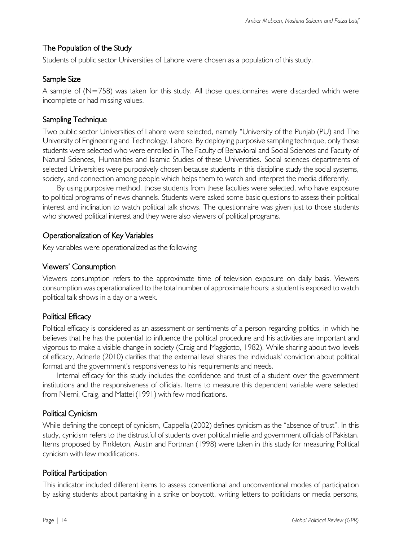# The Population of the Study

Students of public sector Universities of Lahore were chosen as a population of this study.

## Sample Size

A sample of  $(N=758)$  was taken for this study. All those questionnaires were discarded which were incomplete or had missing values.

# Sampling Technique

Two public sector Universities of Lahore were selected, namely "University of the Punjab (PU) and The University of Engineering and Technology, Lahore. By deploying purposive sampling technique, only those students were selected who were enrolled in The Faculty of Behavioral and Social Sciences and Faculty of Natural Sciences, Humanities and Islamic Studies of these Universities. Social sciences departments of selected Universities were purposively chosen because students in this discipline study the social systems, society, and connection among people which helps them to watch and interpret the media differently.

By using purposive method, those students from these faculties were selected, who have exposure to political programs of news channels. Students were asked some basic questions to assess their political interest and inclination to watch political talk shows. The questionnaire was given just to those students who showed political interest and they were also viewers of political programs.

# Operationalization of Key Variables

Key variables were operationalized as the following

# Viewers' Consumption

Viewers consumption refers to the approximate time of television exposure on daily basis. Viewers consumption was operationalized to the total number of approximate hours; a student is exposed to watch political talk shows in a day or a week.

## Political Efficacy

Political efficacy is considered as an assessment or sentiments of a person regarding politics, in which he believes that he has the potential to influence the political procedure and his activities are important and vigorous to make a visible change in society (Craig and Maggiotto, 1982). While sharing about two levels of efficacy, Adnerle (2010) clarifies that the external level shares the individuals' conviction about political format and the government's responsiveness to his requirements and needs.

Internal efficacy for this study includes the confidence and trust of a student over the government institutions and the responsiveness of officials. Items to measure this dependent variable were selected from Niemi, Craig, and Mattei (1991) with few modifications.

# Political Cynicism

While defining the concept of cynicism, Cappella (2002) defines cynicism as the "absence of trust". In this study, cynicism refers to the distrustful of students over political mielie and government officials of Pakistan. Items proposed by Pinkleton, Austin and Fortman (1998) were taken in this study for measuring Political cynicism with few modifications.

## Political Participation

This indicator included different items to assess conventional and unconventional modes of participation by asking students about partaking in a strike or boycott, writing letters to politicians or media persons,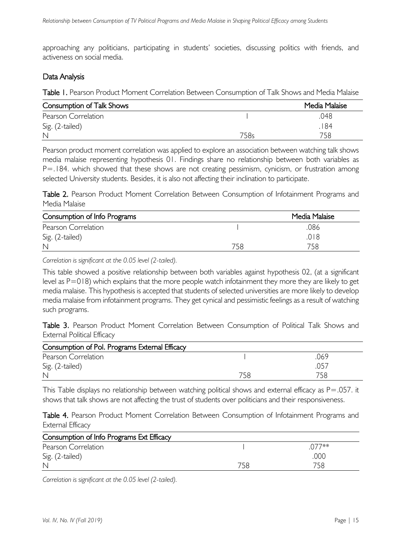approaching any politicians, participating in students' societies, discussing politics with friends, and activeness on social media.

#### Data Analysis

Table I. Pearson Product Moment Correlation Between Consumption of Talk Shows and Media Malaise

| <b>Consumption of Talk Shows</b> |      | Media Malaise |
|----------------------------------|------|---------------|
| Pearson Correlation              |      | .048          |
| Sig. (2-tailed)                  |      | 184           |
| $\mathbb{N}$                     | 758s | 758           |

Pearson product moment correlation was applied to explore an association between watching talk shows media malaise representing hypothesis 01. Findings share no relationship between both variables as P=.184. which showed that these shows are not creating pessimism, cynicism, or frustration among selected University students. Besides, it is also not affecting their inclination to participate.

Table 2. Pearson Product Moment Correlation Between Consumption of Infotainment Programs and Media Malaise

| Consumption of Info Programs |     | Media Malaise |
|------------------------------|-----|---------------|
| Pearson Correlation          |     | .086          |
| Sig. (2-tailed)              |     | .018          |
| $\mathbb{N}$                 | 758 | 758           |

*Correlation is significant at the 0.05 level (2-tailed).*

This table showed a positive relationship between both variables against hypothesis 02, (at a significant level as P=018) which explains that the more people watch infotainment they more they are likely to get media malaise. This hypothesis is accepted that students of selected universities are more likely to develop media malaise from infotainment programs. They get cynical and pessimistic feelings as a result of watching such programs.

Table 3. Pearson Product Moment Correlation Between Consumption of Political Talk Shows and External Political Efficacy

| Consumption of Pol. Programs External Efficacy |     |       |
|------------------------------------------------|-----|-------|
| Pearson Correlation                            |     | 069   |
| Sig. (2-tailed)                                |     | ، 105 |
| $\mathbb{N}$                                   | 758 | 758   |

This Table displays no relationship between watching political shows and external efficacy as  $P = .057$ . it shows that talk shows are not affecting the trust of students over politicians and their responsiveness.

Table 4. Pearson Product Moment Correlation Between Consumption of Infotainment Programs and External Efficacy

| Consumption of Info Programs Ext Efficacy |     |       |
|-------------------------------------------|-----|-------|
| Pearson Correlation                       |     | 177** |
| Sig. (2-tailed)                           |     | .000  |
| $\mathbb N$                               | 758 |       |

*Correlation is significant at the 0.05 level (2-tailed).*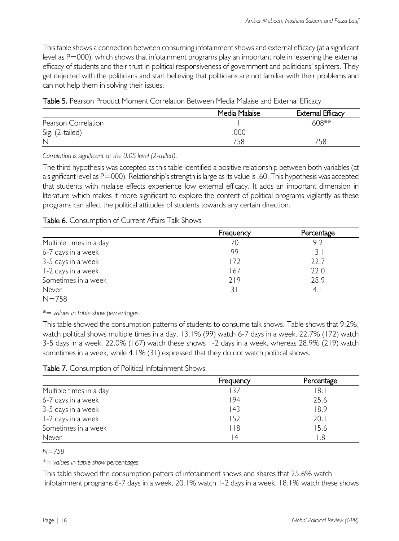This table shows a connection between consuming infotainment shows and external efficacy (at a significant level as P=000), which shows that infotainment programs play an important role in lessening the external efficacy of students and their trust in political responsiveness of government and politicians' splinters. They get dejected with the politicians and start believing that politicians are not familiar with their problems and can not help them in solving their issues.

|  | <b>Table 5.</b> Pearson Product Moment Correlation Between Media Malaise and External Efficacy |
|--|------------------------------------------------------------------------------------------------|
|--|------------------------------------------------------------------------------------------------|

|                     | Media Malaise | External Efficacy |
|---------------------|---------------|-------------------|
| Pearson Correlation |               | $608**$           |
| Sig. (2-tailed)     | .000          |                   |
| $\mathbb N$         | 758           | 758               |

*Correlation is significant at the 0.05 level (2-tailed).*

The third hypothesis was accepted as this table identified a positive relationship between both variables (at a significant level as P=000). Relationship's strength is large as its value is .60. This hypothesis was accepted that students with malaise effects experience low external efficacy. It adds an important dimension in literature which makes it more significant to explore the content of political programs vigilantly as these programs can affect the political attitudes of students towards any certain direction.

## Table 6. Consumption of Current Affairs Talk Shows

|                         | Frequency | Percentage |
|-------------------------|-----------|------------|
| Multiple times in a day | 70        | 9.2        |
| 6-7 days in a week      | 99        | 13.1       |
| 3-5 days in a week      | 172       | 22.7       |
| I-2 days in a week      | 167       | 22.0       |
| Sometimes in a week     | 719       | 28.9       |
| Never                   | 31        | 4.1        |
| $N = 758$               |           |            |

*\*= values in table show percentages.*

This table showed the consumption patterns of students to consume talk shows. Table shows that 9.2%, watch political shows multiple times in a day, 13.1% (99) watch 6-7 days in a week, 22.7% (172) watch 3-5 days in a week, 22.0% (167) watch these shows 1-2 days in a week, whereas 28.9% (219) watch sometimes in a week, while 4.1% (31) expressed that they do not watch political shows.

|                         | Frequency      | Percentage |
|-------------------------|----------------|------------|
| Multiple times in a day |                | 18.        |
| 6-7 days in a week      | 194            | 25.6       |
| 3-5 days in a week      | 43             | 18.9       |
| I-2 days in a week      | 152            | 20.1       |
| Sometimes in a week     | 8              | 15.6       |
| Never                   | $\overline{A}$ | .8         |

*N=758* 

*\*= values in table show percentages*

This table showed the consumption patters of infotainment shows and shares that 25.6% watch infotainment programs 6-7 days in a week, 20.1% watch 1-2 days in a week. 18.1% watch these shows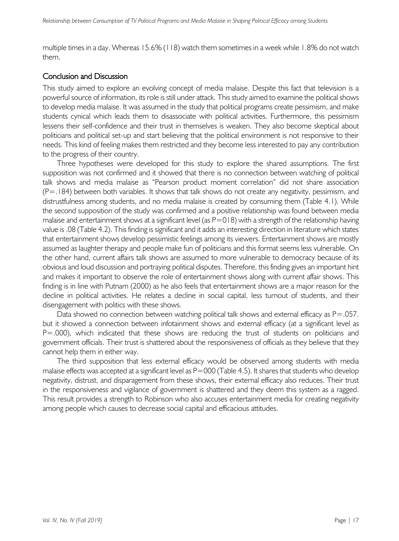multiple times in a day. Whereas 15.6% (118) watch them sometimes in a week while 1.8% do not watch them.

## Conclusion and Discussion

This study aimed to explore an evolving concept of media malaise. Despite this fact that television is a powerful source of information, its role is still under attack. This study aimed to examine the political shows to develop media malaise. It was assumed in the study that political programs create pessimism, and make students cynical which leads them to disassociate with political activities. Furthermore, this pessimism lessens their self-confidence and their trust in themselves is weaken. They also become skeptical about politicians and political set-up and start believing that the political environment is not responsive to their needs. This kind of feeling makes them restricted and they become less interested to pay any contribution to the progress of their country.

Three hypotheses were developed for this study to explore the shared assumptions. The first supposition was not confirmed and it showed that there is no connection between watching of political talk shows and media malaise as "Pearson product moment correlation" did not share association (P=.184) between both variables. It shows that talk shows do not create any negativity, pessimism, and distrustfulness among students, and no media malaise is created by consuming them (Table 4.1). While the second supposition of the study was confirmed and a positive relationship was found between media malaise and entertainment shows at a significant level (as  $P=018$ ) with a strength of the relationship having value is .08 (Table 4.2). This finding is significant and it adds an interesting direction in literature which states that entertainment shows develop pessimistic feelings among its viewers. Entertainment shows are mostly assumed as laughter therapy and people make fun of politicians and this format seems less vulnerable. On the other hand, current affairs talk shows are assumed to more vulnerable to democracy because of its obvious and loud discussion and portraying political disputes. Therefore, this finding gives an important hint and makes it important to observe the role of entertainment shows along with current affair shows. This finding is in line with Putnam (2000) as he also feels that entertainment shows are a major reason for the decline in political activities. He relates a decline in social capital, less turnout of students, and their disengagement with politics with these shows.

Data showed no connection between watching political talk shows and external efficacy as P=.057. but it showed a connection between infotainment shows and external efficacy (at a significant level as P=.000), which indicated that these shows are reducing the trust of students on politicians and government officials. Their trust is shattered about the responsiveness of officials as they believe that they cannot help them in either way.

The third supposition that less external efficacy would be observed among students with media malaise effects was accepted at a significant level as  $P=000$  (Table 4.5). It shares that students who develop negativity, distrust, and disparagement from these shows, their external efficacy also reduces. Their trust in the responsiveness and vigilance of government is shattered and they deem this system as a ragged. This result provides a strength to Robinson who also accuses entertainment media for creating negativity among people which causes to decrease social capital and efficacious attitudes.